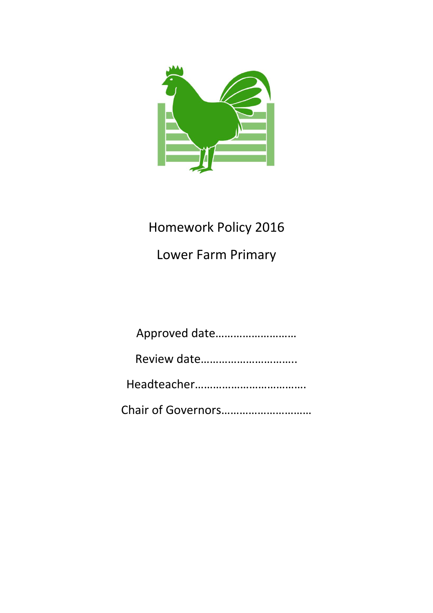

# Homework Policy 2016

Lower Farm Primary

| Approved date |
|---------------|
|               |
|               |
|               |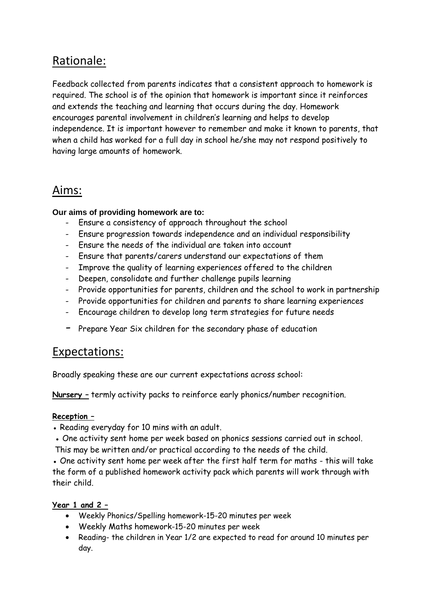## Rationale:

Feedback collected from parents indicates that a consistent approach to homework is required. The school is of the opinion that homework is important since it reinforces and extends the teaching and learning that occurs during the day. Homework encourages parental involvement in children's learning and helps to develop independence. It is important however to remember and make it known to parents, that when a child has worked for a full day in school he/she may not respond positively to having large amounts of homework.

### Aims:

#### **Our aims of providing homework are to:**

- Ensure a consistency of approach throughout the school
- Ensure progression towards independence and an individual responsibility
- Ensure the needs of the individual are taken into account
- Ensure that parents/carers understand our expectations of them
- Improve the quality of learning experiences offered to the children
- Deepen, consolidate and further challenge pupils learning
- Provide opportunities for parents, children and the school to work in partnership
- Provide opportunities for children and parents to share learning experiences
- Encourage children to develop long term strategies for future needs
- Prepare Year Six children for the secondary phase of education

### Expectations:

Broadly speaking these are our current expectations across school:

**Nursery –** termly activity packs to reinforce early phonics/number recognition.

#### **Reception –**

- Reading everyday for 10 mins with an adult.
- One activity sent home per week based on phonics sessions carried out in school.
- This may be written and/or practical according to the needs of the child.

• One activity sent home per week after the first half term for maths - this will take the form of a published homework activity pack which parents will work through with their child.

#### **Year 1 and 2 –**

- Weekly Phonics/Spelling homework-15-20 minutes per week
- Weekly Maths homework-15-20 minutes per week
- Reading- the children in Year 1/2 are expected to read for around 10 minutes per day.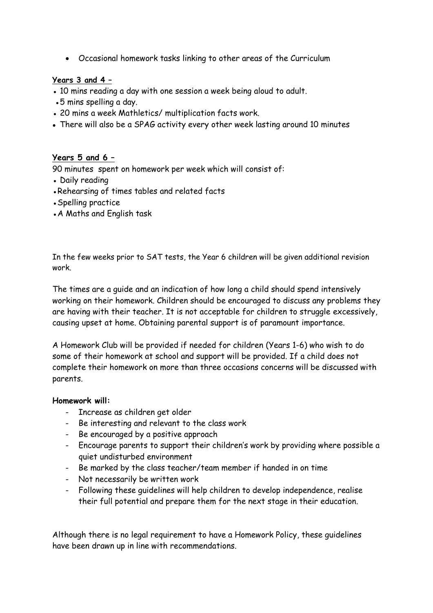Occasional homework tasks linking to other areas of the Curriculum

#### **Years 3 and 4 –**

- 10 mins reading a day with one session a week being aloud to adult.
- •5 mins spelling a day.
- 20 mins a week Mathletics/ multiplication facts work.
- There will also be a SPAG activity every other week lasting around 10 minutes

#### **Years 5 and 6 –**

90 minutes spent on homework per week which will consist of:

- Daily reading
- •Rehearsing of times tables and related facts
- Spelling practice
- A Maths and English task

In the few weeks prior to SAT tests, the Year 6 children will be given additional revision work.

The times are a guide and an indication of how long a child should spend intensively working on their homework. Children should be encouraged to discuss any problems they are having with their teacher. It is not acceptable for children to struggle excessively, causing upset at home. Obtaining parental support is of paramount importance.

A Homework Club will be provided if needed for children (Years 1-6) who wish to do some of their homework at school and support will be provided. If a child does not complete their homework on more than three occasions concerns will be discussed with parents.

#### **Homework will:**

- Increase as children get older
- Be interesting and relevant to the class work
- Be encouraged by a positive approach
- Encourage parents to support their children's work by providing where possible a quiet undisturbed environment
- Be marked by the class teacher/team member if handed in on time
- Not necessarily be written work
- Following these guidelines will help children to develop independence, realise their full potential and prepare them for the next stage in their education.

Although there is no legal requirement to have a Homework Policy, these guidelines have been drawn up in line with recommendations.